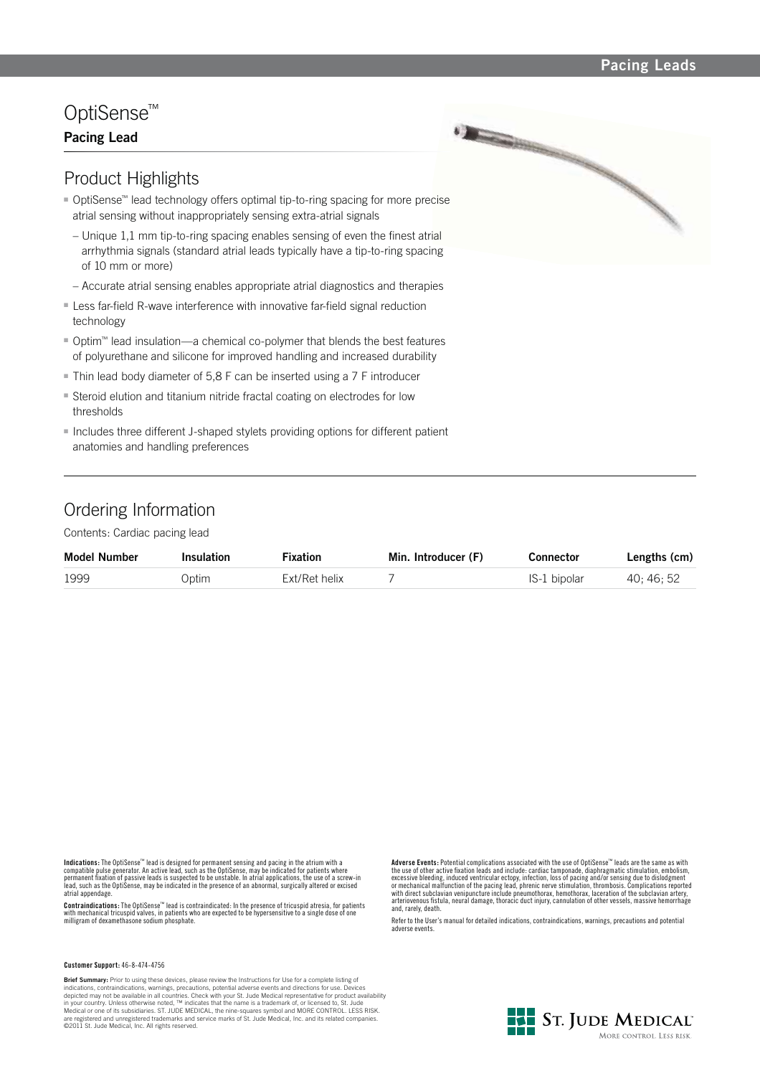### **Pacing Leads**

# OptiSense™

## **Pacing Lead**



- OptiSense™ lead technology offers optimal tip-to-ring spacing for more precise atrial sensing without inappropriately sensing extra-atrial signals
- Unique 1,1 mm tip-to-ring spacing enables sensing of even the finest atrial arrhythmia signals (standard atrial leads typically have a tip-to-ring spacing of 10 mm or more)
- Accurate atrial sensing enables appropriate atrial diagnostics and therapies
- Less far-field R-wave interference with innovative far-field signal reduction technology
- Optim<sup>™</sup> lead insulation—a chemical co-polymer that blends the best features of polyurethane and silicone for improved handling and increased durability
- Thin lead body diameter of 5,8 F can be inserted using a 7 F introducer
- **Steroid elution and titanium nitride fractal coating on electrodes for low** thresholds
- Includes three different J-shaped stylets providing options for different patient anatomies and handling preferences

## Ordering Information

Contents: Cardiac pacing lead

| <b>Model Number</b> | <b>Insulation</b> | <b>Fixation</b> | Min. Introducer (F) | Connector    | Lengths (cm) |
|---------------------|-------------------|-----------------|---------------------|--------------|--------------|
| 1999                | Optim             | Ext/Ret helix   |                     | IS-1 bipolar | 40: 46: 52   |

Indications: The OptiSense<sup>ru</sup> lead is designed for permanent sensing and pacing in the atrium with a<br>compatible pulse generator. An active lead, such as the OptiSense, may be indicated for patients where<br>permanent fixatio

**Contraindications:** The OptiSense™ lead is contraindicated: In the presence of tricuspid atresia, for patients with mechanical tricuspid valves, in patients who are expected to be hypersensitive to a single dose of one milligram of dexamethasone sodium phosphate.

**Customer Support:** 46-8-474-4756

**Brief Summary:** Prior to using these devices, please review the Instructions for Use for a complete listing of indications, contraindications, warnings, precautions, potential adverse events and directions for use. Devices depicted may not be available in all countries. Check with your St. Jude Medical representative for product availability<br>in your country. Unless otherwise noted, ™ indicates that the name is a trademark of, or licensed to,

**Adverse Events:** Potential complications associated with the use of OptiSense™ leads are the same as with the use of other active fixation leads and include: cardiac tamponade, diaphragmatic stimulation, embolism,<br>excessive bleeding, induced ventricular ectopy, infection, loss of pacing and/or sensing due to dislodgment<br>or mec and, rarely, death.

Refer to the User's manual for detailed indications, contraindications, warnings, precautions and potential adverse events.